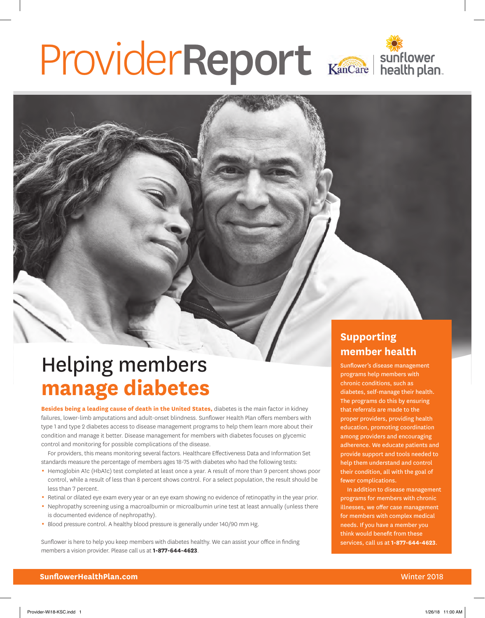# ProviderReport Kancare Isunflower

# Helping members **manage diabetes**

**Besides being a leading cause of death in the United States,** diabetes is the main factor in kidney failures, lower-limb amputations and adult-onset blindness. Sunflower Health Plan offers members with type 1 and type 2 diabetes access to disease management programs to help them learn more about their condition and manage it better. Disease management for members with diabetes focuses on glycemic control and monitoring for possible complications of the disease.

For providers, this means monitoring several factors. Healthcare Effectiveness Data and Information Set standards measure the percentage of members ages 18-75 with diabetes who had the following tests:

- Hemoglobin A1c (HbA1c) test completed at least once a year. A result of more than 9 percent shows poor control, while a result of less than 8 percent shows control. For a select population, the result should be less than 7 percent.
- Retinal or dilated eye exam every year or an eye exam showing no evidence of retinopathy in the year prior.
- Nephropathy screening using a macroalbumin or microalbumin urine test at least annually (unless there is documented evidence of nephropathy).
- Blood pressure control. A healthy blood pressure is generally under 140/90 mm Hg.

Sunflower is here to help you keep members with diabetes healthy. We can assist your office in finding members a vision provider. Please call us at **1-877-644-4623**.

### **Supporting member health**

Sunflower's disease management programs help members with chronic conditions, such as diabetes, self-manage their health. The programs do this by ensuring that referrals are made to the proper providers, providing health education, promoting coordination among providers and encouraging adherence. We educate patients and provide support and tools needed to help them understand and control their condition, all with the goal of fewer complications.

In addition to disease management programs for members with chronic illnesses, we offer case management for members with complex medical needs. If you have a member you think would benefit from these services, call us at **1-877-644-4623**.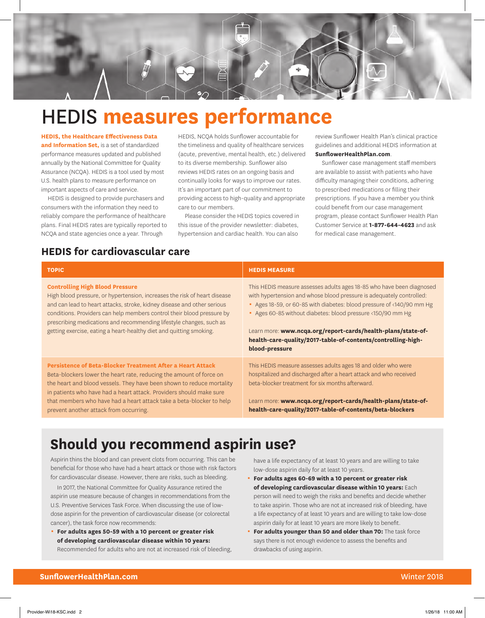

# HEDIS **measures performance**

**HEDIS, the Healthcare Effectiveness Data and Information Set,** is a set of standardized performance measures updated and published annually by the National Committee for Quality Assurance (NCQA). HEDIS is a tool used by most U.S. health plans to measure performance on important aspects of care and service.

HEDIS is designed to provide purchasers and consumers with the information they need to reliably compare the performance of healthcare plans. Final HEDIS rates are typically reported to NCQA and state agencies once a year. Through

HEDIS, NCQA holds Sunflower accountable for the timeliness and quality of healthcare services (acute, preventive, mental health, etc.) delivered to its diverse membership. Sunflower also reviews HEDIS rates on an ongoing basis and continually looks for ways to improve our rates. It's an important part of our commitment to providing access to high-quality and appropriate care to our members.

Please consider the HEDIS topics covered in this issue of the provider newsletter: diabetes, hypertension and cardiac health. You can also

review Sunflower Health Plan's clinical practice guidelines and additional HEDIS information at **[SunflowerHealthPlan.com](https://www.sunflowerhealthplan.com/)**.

Sunflower case management staff members are available to assist with patients who have difficulty managing their conditions, adhering to prescribed medications or filling their prescriptions. If you have a member you think could benefit from our case management program, please contact Sunflower Health Plan Customer Service at **1-877-644-4623** and ask for medical case management.

### **HEDIS for cardiovascular care**

| <b>TOPIC</b>                                                                                                                                                                                                                                                                                                                                                                                                           | <b>HEDIS MEASURE</b>                                                                                                                                                                                                                                                                                                                                                                                                                |
|------------------------------------------------------------------------------------------------------------------------------------------------------------------------------------------------------------------------------------------------------------------------------------------------------------------------------------------------------------------------------------------------------------------------|-------------------------------------------------------------------------------------------------------------------------------------------------------------------------------------------------------------------------------------------------------------------------------------------------------------------------------------------------------------------------------------------------------------------------------------|
| <b>Controlling High Blood Pressure</b><br>High blood pressure, or hypertension, increases the risk of heart disease<br>and can lead to heart attacks, stroke, kidney disease and other serious<br>conditions. Providers can help members control their blood pressure by<br>prescribing medications and recommending lifestyle changes, such as<br>getting exercise, eating a heart-healthy diet and quitting smoking. | This HEDIS measure assesses adults ages 18-85 who have been diagnosed<br>with hypertension and whose blood pressure is adequately controlled:<br>Ages 18-59, or 60-85 with diabetes: blood pressure of <140/90 mm Hg<br>Ages 60-85 without diabetes: blood pressure <150/90 mm Hg<br>Learn more: www.ncqa.org/report-cards/health-plans/state-of-<br>health-care-quality/2017-table-of-contents/controlling-high-<br>blood-pressure |
| Persistence of Beta-Blocker Treatment After a Heart Attack<br>Beta-blockers lower the heart rate, reducing the amount of force on<br>the heart and blood vessels. They have been shown to reduce mortality<br>in patients who have had a heart attack. Providers should make sure<br>that members who have had a heart attack take a beta-blocker to help<br>prevent another attack from occurring.                    | This HEDIS measure assesses adults ages 18 and older who were<br>hospitalized and discharged after a heart attack and who received<br>beta-blocker treatment for six months afterward.<br>Learn more: www.ncqa.org/report-cards/health-plans/state-of-<br>health-care-quality/2017-table-of-contents/beta-blockers                                                                                                                  |

# **Should you recommend aspirin use?**

Aspirin thins the blood and can prevent clots from occurring. This can be beneficial for those who have had a heart attack or those with risk factors for cardiovascular disease. However, there are risks, such as bleeding.

In 2017, the National Committee for Quality Assurance retired the aspirin use measure because of changes in recommendations from the U.S. Preventive Services Task Force. When discussing the use of lowdose aspirin for the prevention of cardiovascular disease (or colorectal cancer), the task force now recommends:

0 **For adults ages 50-59 with a 10 percent or greater risk of developing cardiovascular disease within 10 years:** Recommended for adults who are not at increased risk of bleeding, have a life expectancy of at least 10 years and are willing to take low-dose aspirin daily for at least 10 years.

- 0 **For adults ages 60-69 with a 10 percent or greater risk of developing cardiovascular disease within 10 years:** Each person will need to weigh the risks and benefits and decide whether to take aspirin. Those who are not at increased risk of bleeding, have a life expectancy of at least 10 years and are willing to take low-dose aspirin daily for at least 10 years are more likely to benefit.
- **For adults younger than 50 and older than 70:** The task force says there is not enough evidence to assess the benefits and drawbacks of using aspirin.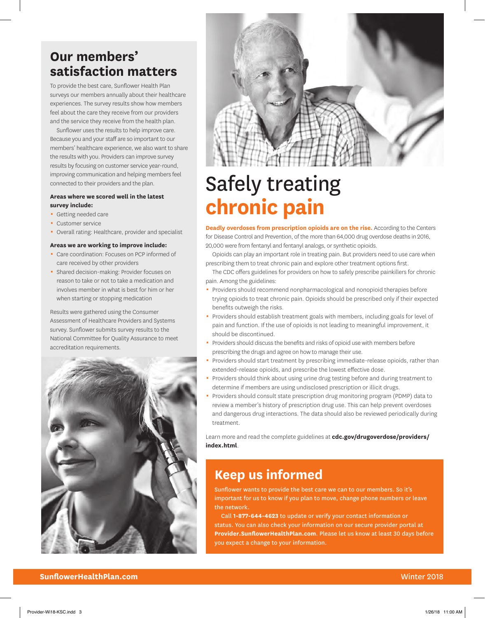## **Our members' satisfaction matters**

To provide the best care, Sunflower Health Plan surveys our members annually about their healthcare experiences. The survey results show how members feel about the care they receive from our providers and the service they receive from the health plan.

Sunflower uses the results to help improve care. Because you and your staff are so important to our members' healthcare experience, we also want to share the results with you. Providers can improve survey results by focusing on customer service year-round, improving communication and helping members feel connected to their providers and the plan.

#### **Areas where we scored well in the latest survey include:**

- **-** Getting needed care
- **Customer service**
- Overall rating: Healthcare, provider and specialist

#### **Areas we are working to improve include:**

- 0 Care coordination: Focuses on PCP informed of care received by other providers
- Shared decision-making: Provider focuses on reason to take or not to take a medication and involves member in what is best for him or her when starting or stopping medication

Results were gathered using the Consumer Assessment of Healthcare Providers and Systems survey. Sunflower submits survey results to the National Committee for Quality Assurance to meet accreditation requirements.





# Safely treating **chronic pain**

**Deadly overdoses from prescription opioids are on the rise.** According to the Centers for Disease Control and Prevention, of the more than 64,000 drug overdose deaths in 2016, 20,000 were from fentanyl and fentanyl analogs, or synthetic opioids.

Opioids can play an important role in treating pain. But providers need to use care when prescribing them to treat chronic pain and explore other treatment options first.

The CDC offers guidelines for providers on how to safely prescribe painkillers for chronic pain. Among the guidelines:

- Providers should recommend nonpharmacological and nonopioid therapies before trying opioids to treat chronic pain. Opioids should be prescribed only if their expected benefits outweigh the risks.
- Providers should establish treatment goals with members, including goals for level of pain and function. If the use of opioids is not leading to meaningful improvement, it should be discontinued.
- Providers should discuss the benefits and risks of opioid use with members before prescribing the drugs and agree on how to manage their use.
- Providers should start treatment by prescribing immediate-release opioids, rather than extended-release opioids, and prescribe the lowest effective dose.
- Providers should think about using urine drug testing before and during treatment to determine if members are using undisclosed prescription or illicit drugs.
- Providers should consult state prescription drug monitoring program (PDMP) data to review a member's history of prescription drug use. This can help prevent overdoses and dangerous drug interactions. The data should also be reviewed periodically during treatment.

Learn more and read the complete guidelines at **[cdc.gov/drugoverdose/providers/](https://www.cdc.gov/drugoverdose/providers/index.html) [index.html](https://www.cdc.gov/drugoverdose/providers/index.html)**.

### **Keep us informed**

Sunflower wants to provide the best care we can to our members. So it's important for us to know if you plan to move, change phone numbers or leave the network.

Call **1-877-644-4623** to update or verify your contact information or status. You can also check your information on our secure provider portal at **Provider.SunflowerHealthPlan.com**. Please let us know at least 30 days before you expect a change to your information.